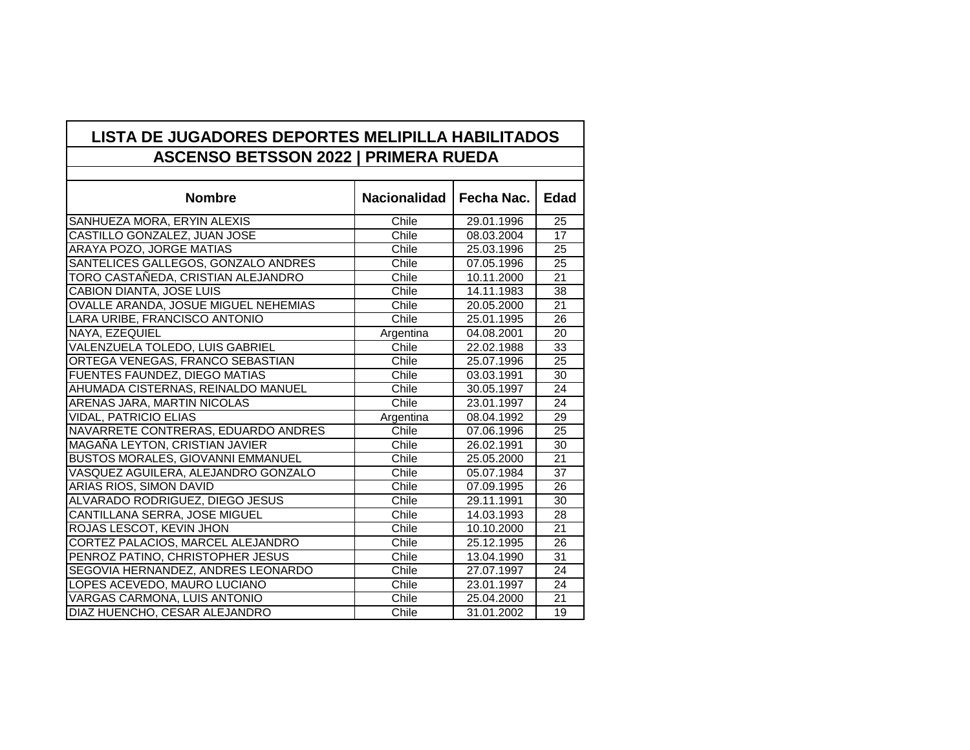## **LISTA DE JUGADORES DEPORTES MELIPILLA HABILITADOS ASCENSO BETSSON 2022 | PRIMERA RUEDA**

| <b>Nombre</b>                         | <b>Nacionalidad</b> | Fecha Nac. | <b>Edad</b>     |
|---------------------------------------|---------------------|------------|-----------------|
| SANHUEZA MORA, ERYIN ALEXIS           | Chile               | 29.01.1996 | 25              |
| CASTILLO GONZALEZ, JUAN JOSE          | Chile               | 08.03.2004 | $\overline{17}$ |
| ARAYA POZO, JORGE MATIAS              | Chile               | 25.03.1996 | 25              |
| SANTELICES GALLEGOS, GONZALO ANDRES   | Chile               | 07.05.1996 | 25              |
| TORO CASTAÑEDA, CRISTIAN ALEJANDRO    | Chile               | 10.11.2000 | 21              |
| <b>CABION DIANTA, JOSE LUIS</b>       | Chile               | 14.11.1983 | 38              |
| OVALLE ARANDA, JOSUE MIGUEL NEHEMIAS  | Chile               | 20.05.2000 | 21              |
| LARA URIBE, FRANCISCO ANTONIO         | Chile               | 25.01.1995 | 26              |
| NAYA, EZEQUIEL                        | Argentina           | 04.08.2001 | 20              |
| VALENZUELA TOLEDO, LUIS GABRIEL       | Chile               | 22.02.1988 | 33              |
| ORTEGA VENEGAS, FRANCO SEBASTIAN      | Chile               | 25.07.1996 | 25              |
| FUENTES FAUNDEZ, DIEGO MATIAS         | Chile               | 03.03.1991 | 30              |
| AHUMADA CISTERNAS, REINALDO MANUEL    | Chile               | 30.05.1997 | 24              |
| ARENAS JARA, MARTIN NICOLAS           | Chile               | 23.01.1997 | 24              |
| <b>VIDAL, PATRICIO ELIAS</b>          | Argentina           | 08.04.1992 | 29              |
| NAVARRETE CONTRERAS, EDUARDO ANDRES   | Chile               | 07.06.1996 | $\overline{25}$ |
| <b>MAGANA LEYTON, CRISTIAN JAVIER</b> | Chile               | 26.02.1991 | 30              |
| BUSTOS MORALES, GIOVANNI EMMANUEL     | Chile               | 25.05.2000 | 21              |
| VASQUEZ AGUILERA, ALEJANDRO GONZALO   | Chile               | 05.07.1984 | 37              |
| ARIAS RIOS, SIMON DAVID               | Chile               | 07.09.1995 | 26              |
| ALVARADO RODRIGUEZ, DIEGO JESUS       | Chile               | 29.11.1991 | $\overline{30}$ |
| CANTILLANA SERRA, JOSE MIGUEL         | Chile               | 14.03.1993 | 28              |
| ROJAS LESCOT, KEVIN JHON              | Chile               | 10.10.2000 | 21              |
| CORTEZ PALACIOS, MARCEL ALEJANDRO     | Chile               | 25.12.1995 | 26              |
| PENROZ PATINO, CHRISTOPHER JESUS      | Chile               | 13.04.1990 | 31              |
| SEGOVIA HERNANDEZ, ANDRES LEONARDO    | Chile               | 27.07.1997 | 24              |
| LOPES ACEVEDO, MAURO LUCIANO          | Chile               | 23.01.1997 | 24              |
| VARGAS CARMONA, LUIS ANTONIO          | Chile               | 25.04.2000 | 21              |
| DIAZ HUENCHO, CESAR ALEJANDRO         | Chile               | 31.01.2002 | 19              |